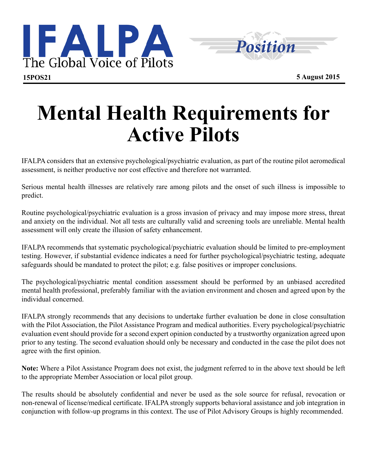



## **Mental Health Requirements for Active Pilots**

IFALPA considers that an extensive psychological/psychiatric evaluation, as part of the routine pilot aeromedical assessment, is neither productive nor cost effective and therefore not warranted.

Serious mental health illnesses are relatively rare among pilots and the onset of such illness is impossible to predict.

Routine psychological/psychiatric evaluation is a gross invasion of privacy and may impose more stress, threat and anxiety on the individual. Not all tests are culturally valid and screening tools are unreliable. Mental health assessment will only create the illusion of safety enhancement.

IFALPA recommends that systematic psychological/psychiatric evaluation should be limited to pre-employment testing. However, if substantial evidence indicates a need for further psychological/psychiatric testing, adequate safeguards should be mandated to protect the pilot; e.g. false positives or improper conclusions.

The psychological/psychiatric mental condition assessment should be performed by an unbiased accredited mental health professional, preferably familiar with the aviation environment and chosen and agreed upon by the individual concerned.

IFALPA strongly recommends that any decisions to undertake further evaluation be done in close consultation with the Pilot Association, the Pilot Assistance Program and medical authorities. Every psychological/psychiatric evaluation event should provide for a second expert opinion conducted by a trustworthy organization agreed upon prior to any testing. The second evaluation should only be necessary and conducted in the case the pilot does not agree with the first opinion.

**Note:** Where a Pilot Assistance Program does not exist, the judgment referred to in the above text should be left to the appropriate Member Association or local pilot group.

The results should be absolutely confidential and never be used as the sole source for refusal, revocation or non-renewal of license/medical certificate. IFALPA strongly supports behavioral assistance and job integration in conjunction with follow-up programs in this context. The use of Pilot Advisory Groups is highly recommended.